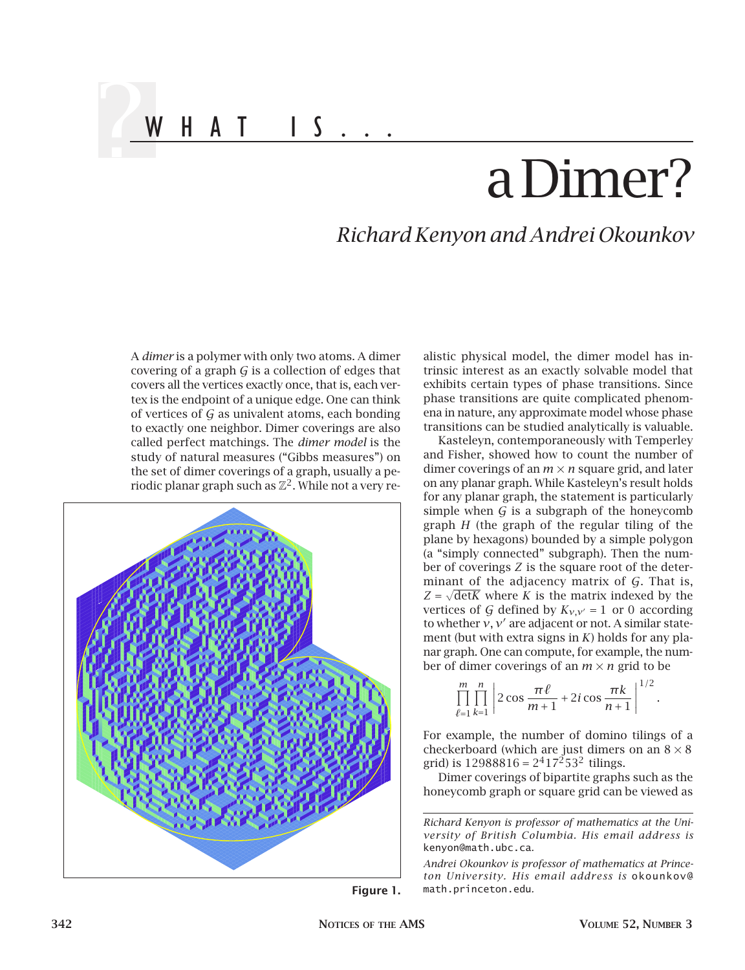## a Dimer?

## *Richard Kenyon and Andrei Okounkov*

A *dimer* is a polymer with only two atoms. A dimer covering of a graph  $G$  is a collection of edges that covers all the vertices exactly once, that is, each vertex is the endpoint of a unique edge. One can think of vertices of  $G$  as univalent atoms, each bonding to exactly one neighbor. Dimer coverings are also called perfect matchings. The *dimer model* is the study of natural measures ("Gibbs measures") on the set of dimer coverings of a graph, usually a periodic planar graph such as  $\mathbb{Z}^2$ . While not a very re-

WHAT IS...



alistic physical model, the dimer model has intrinsic interest as an exactly solvable model that exhibits certain types of phase transitions. Since phase transitions are quite complicated phenomena in nature, any approximate model whose phase transitions can be studied analytically is valuable.

Kasteleyn, contemporaneously with Temperley and Fisher, showed how to count the number of dimer coverings of an  $m \times n$  square grid, and later on any planar graph. While Kasteleyn's result holds for any planar graph, the statement is particularly simple when  $G$  is a subgraph of the honeycomb graph *H* (the graph of the regular tiling of the plane by hexagons) bounded by a simple polygon (a "simply connected" subgraph). Then the number of coverings *Z* is the square root of the determinant of the adjacency matrix of G. That is,  $Z = \sqrt{\text{det}K}$  where *K* is the matrix indexed by the vertices of G defined by  $K_{v,v'} = 1$  or 0 according to whether  $v, v'$  are adjacent or not. A similar statement (but with extra signs in *K*) holds for any planar graph. One can compute, for example, the number of dimer coverings of an  $m \times n$  grid to be

$$
\prod_{\ell=1}^m \prod_{k=1}^n \left| 2 \cos \frac{\pi \ell}{m+1} + 2i \cos \frac{\pi k}{n+1} \right|^{1/2}.
$$

For example, the number of domino tilings of a checkerboard (which are just dimers on an  $8 \times 8$ grid) is  $12988816 = 2^417^253^2$  tilings.

Dimer coverings of bipartite graphs such as the honeycomb graph or square grid can be viewed as

*Richard Kenyon is professor of mathematics at the University of British Columbia. His email address is* kenyon@math.ubc.ca*.*

*Andrei Okounkov is professor of mathematics at Princeton University. His email address is* okounkov@ **Figure 1.** math.princeton.edu*.*